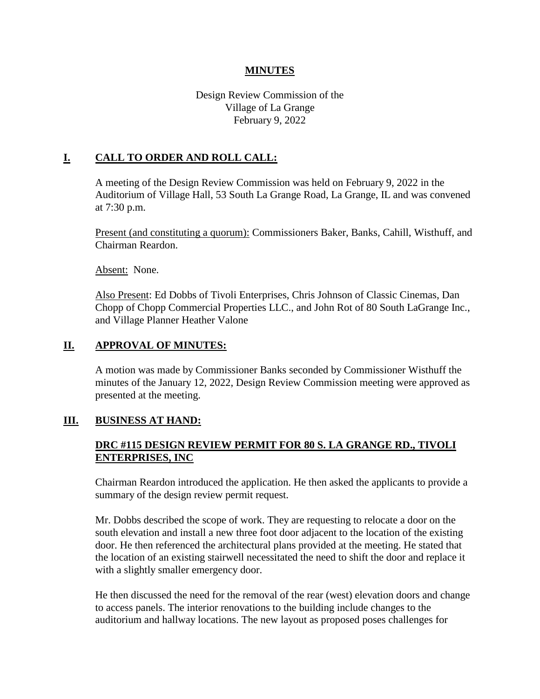### **MINUTES**

## Design Review Commission of the Village of La Grange February 9, 2022

## **I. CALL TO ORDER AND ROLL CALL:**

A meeting of the Design Review Commission was held on February 9, 2022 in the Auditorium of Village Hall, 53 South La Grange Road, La Grange, IL and was convened at 7:30 p.m.

Present (and constituting a quorum): Commissioners Baker, Banks, Cahill, Wisthuff, and Chairman Reardon.

Absent: None.

Also Present: Ed Dobbs of Tivoli Enterprises, Chris Johnson of Classic Cinemas, Dan Chopp of Chopp Commercial Properties LLC., and John Rot of 80 South LaGrange Inc., and Village Planner Heather Valone

### **II. APPROVAL OF MINUTES:**

A motion was made by Commissioner Banks seconded by Commissioner Wisthuff the minutes of the January 12, 2022, Design Review Commission meeting were approved as presented at the meeting.

### **III. BUSINESS AT HAND:**

## **DRC #115 DESIGN REVIEW PERMIT FOR 80 S. LA GRANGE RD., TIVOLI ENTERPRISES, INC**

Chairman Reardon introduced the application. He then asked the applicants to provide a summary of the design review permit request.

Mr. Dobbs described the scope of work. They are requesting to relocate a door on the south elevation and install a new three foot door adjacent to the location of the existing door. He then referenced the architectural plans provided at the meeting. He stated that the location of an existing stairwell necessitated the need to shift the door and replace it with a slightly smaller emergency door.

He then discussed the need for the removal of the rear (west) elevation doors and change to access panels. The interior renovations to the building include changes to the auditorium and hallway locations. The new layout as proposed poses challenges for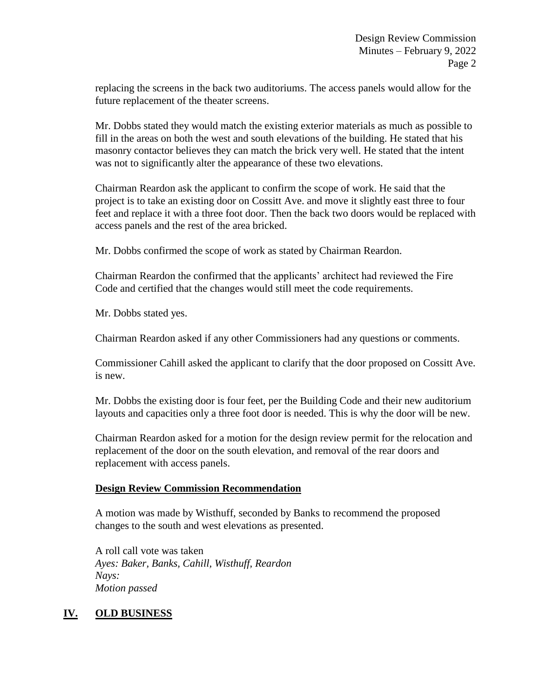replacing the screens in the back two auditoriums. The access panels would allow for the future replacement of the theater screens.

Mr. Dobbs stated they would match the existing exterior materials as much as possible to fill in the areas on both the west and south elevations of the building. He stated that his masonry contactor believes they can match the brick very well. He stated that the intent was not to significantly alter the appearance of these two elevations.

Chairman Reardon ask the applicant to confirm the scope of work. He said that the project is to take an existing door on Cossitt Ave. and move it slightly east three to four feet and replace it with a three foot door. Then the back two doors would be replaced with access panels and the rest of the area bricked.

Mr. Dobbs confirmed the scope of work as stated by Chairman Reardon.

Chairman Reardon the confirmed that the applicants' architect had reviewed the Fire Code and certified that the changes would still meet the code requirements.

Mr. Dobbs stated yes.

Chairman Reardon asked if any other Commissioners had any questions or comments.

Commissioner Cahill asked the applicant to clarify that the door proposed on Cossitt Ave. is new.

Mr. Dobbs the existing door is four feet, per the Building Code and their new auditorium layouts and capacities only a three foot door is needed. This is why the door will be new.

Chairman Reardon asked for a motion for the design review permit for the relocation and replacement of the door on the south elevation, and removal of the rear doors and replacement with access panels.

### **Design Review Commission Recommendation**

A motion was made by Wisthuff, seconded by Banks to recommend the proposed changes to the south and west elevations as presented.

A roll call vote was taken *Ayes: Baker, Banks, Cahill, Wisthuff, Reardon Nays: Motion passed*

## **IV. OLD BUSINESS**